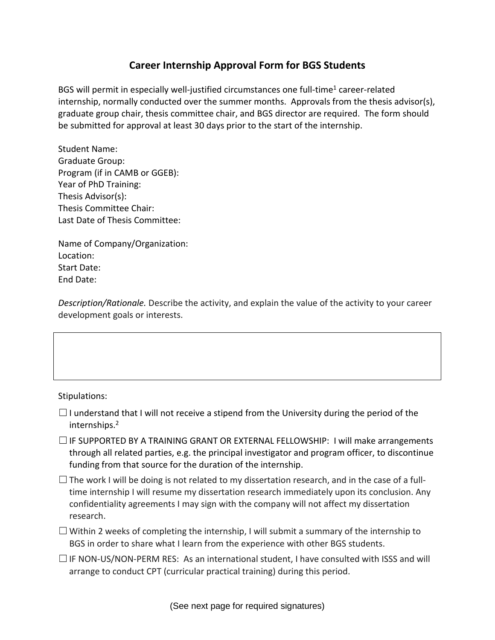## **Career Internship Approval Form for BGS Students**

BGS will permit in especially well-justified circumstances one full-time<sup>1</sup> career-related internship, normally conducted over the summer months. Approvals from the thesis advisor(s), graduate group chair, thesis committee chair, and BGS director are required. The form should be submitted for approval at least 30 days prior to the start of the internship.

Student Name: Graduate Group: Program (if in CAMB or GGEB): Year of PhD Training: Thesis Advisor(s): Thesis Committee Chair: Last Date of Thesis Committee:

Name of Company/Organization: Location: Start Date: End Date:

*Description/Rationale.* Describe the activity, and explain the value of the activity to your career development goals or interests.

Stipulations:

- $\Box$ I understand that I will not receive a stipend from the University during the period of the internships. 2
- $\square$  IF SUPPORTED BY A TRAINING GRANT OR EXTERNAL FELLOWSHIP: I will make arrangements through all related parties, e.g. the principal investigator and program officer, to discontinue funding from that source for the duration of the internship.
- $\Box$  The work I will be doing is not related to my dissertation research, and in the case of a fulltime internship I will resume my dissertation research immediately upon its conclusion. Any confidentiality agreements I may sign with the company will not affect my dissertation research.
- $\Box$  Within 2 weeks of completing the internship, I will submit a summary of the internship to BGS in order to share what I learn from the experience with other BGS students.
- $\Box$  IF NON-US/NON-PERM RES: As an international student, I have consulted with ISSS and will arrange to conduct CPT (curricular practical training) during this period.